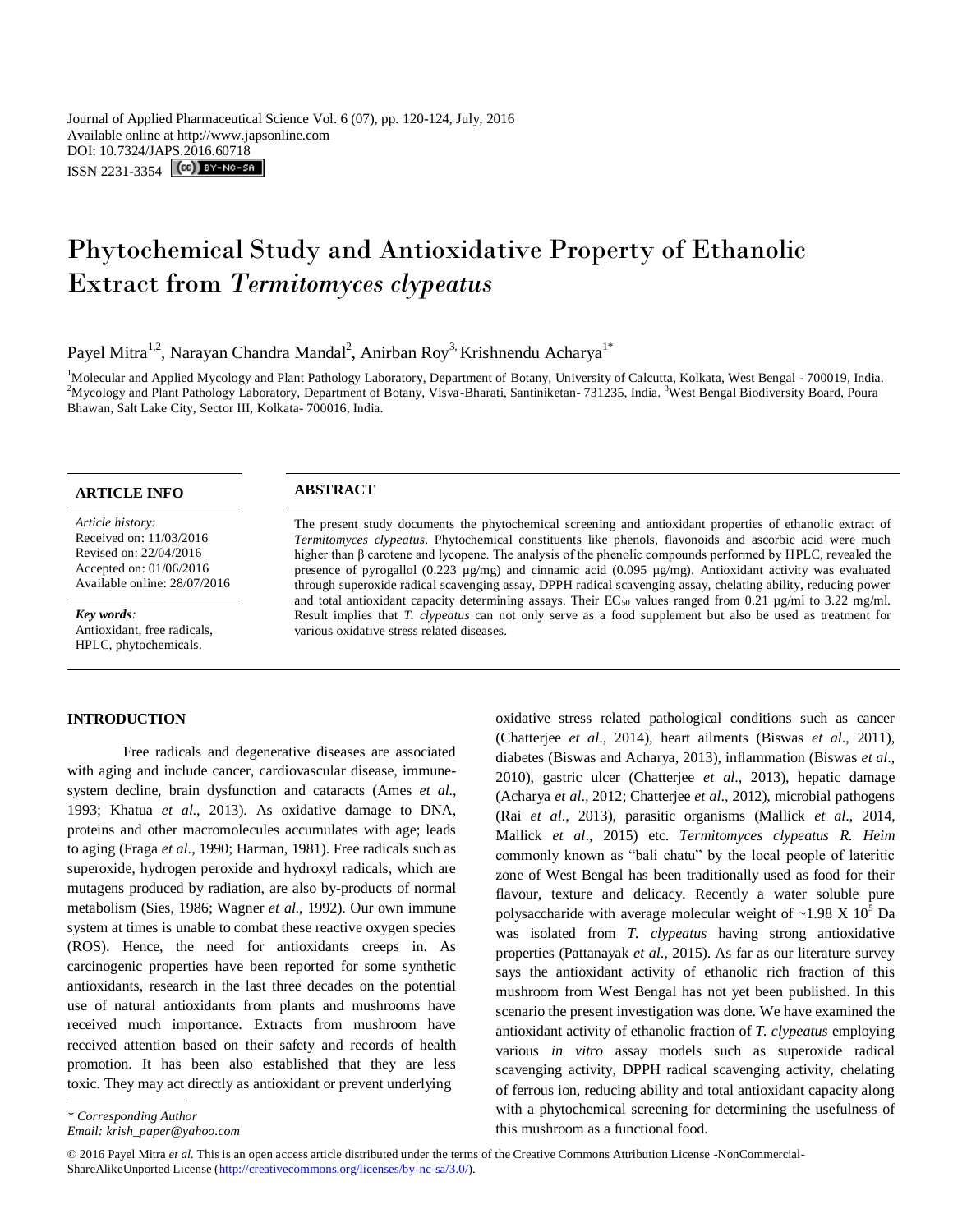# Phytochemical Study and Antioxidative Property of Ethanolic Extract from *Termitomyces clypeatus*

Payel Mitra<sup>1,2</sup>, Narayan Chandra Mandal<sup>2</sup>, Anirban Roy<sup>3,</sup> Krishnendu Acharya<sup>1\*</sup>

<sup>1</sup>Molecular and Applied Mycology and Plant Pathology Laboratory, Department of Botany, University of Calcutta, Kolkata, West Bengal - 700019, India. <sup>2</sup>Mycology and Plant Pathology Laboratory, Department of Botany, Visva-Bharati, Santiniketan- 731235, India. <sup>3</sup>West Bengal Biodiversity Board, Poura Bhawan, Salt Lake City, Sector III, Kolkata- 700016, India.

## **ARTICLE INFO ABSTRACT**

*Article history:* Received on: 11/03/2016 Revised on: 22/04/2016 Accepted on: 01/06/2016 Available online: 28/07/2016

*Key words:*  Antioxidant, free radicals, HPLC, phytochemicals.

#### **INTRODUCTION**

Free radicals and degenerative diseases are associated with aging and include cancer, cardiovascular disease, immunesystem decline, brain dysfunction and cataracts (Ames *et al*., 1993; Khatua *et al*., 2013). As oxidative damage to DNA, proteins and other macromolecules accumulates with age; leads to aging (Fraga *et al*., 1990; Harman, 1981). Free radicals such as superoxide, hydrogen peroxide and hydroxyl radicals, which are mutagens produced by radiation, are also by-products of normal metabolism (Sies, 1986; Wagner *et al*., 1992). Our own immune system at times is unable to combat these reactive oxygen species (ROS). Hence, the need for antioxidants creeps in. As carcinogenic properties have been reported for some synthetic antioxidants, research in the last three decades on the potential use of natural antioxidants from plants and mushrooms have received much importance. Extracts from mushroom have received attention based on their safety and records of health promotion. It has been also established that they are less toxic. They may act directly as antioxidant or prevent underlying

The present study documents the phytochemical screening and antioxidant properties of ethanolic extract of *Termitomyces clypeatus*. Phytochemical constituents like phenols, flavonoids and ascorbic acid were much higher than β carotene and lycopene. The analysis of the phenolic compounds performed by HPLC, revealed the presence of pyrogallol (0.223 µg/mg) and cinnamic acid (0.095 µg/mg). Antioxidant activity was evaluated through superoxide radical scavenging assay, DPPH radical scavenging assay, chelating ability, reducing power and total antioxidant capacity determining assays. Their  $EC_{50}$  values ranged from 0.21  $\mu$ g/ml to 3.22 mg/ml. Result implies that *T. clypeatus* can not only serve as a food supplement but also be used as treatment for various oxidative stress related diseases.

> oxidative stress related pathological conditions such as cancer (Chatterjee *et al*., 2014), heart ailments (Biswas *et al*., 2011), diabetes (Biswas and Acharya, 2013), inflammation (Biswas *et al*., 2010), gastric ulcer (Chatterjee *et al*., 2013), hepatic damage (Acharya *et al*., 2012; Chatterjee *et al*., 2012), microbial pathogens (Rai *et al*., 2013), parasitic organisms (Mallick *et al*., 2014, Mallick *et al*., 2015) etc. *Termitomyces clypeatus R. Heim*  commonly known as "bali chatu" by the local people of lateritic zone of West Bengal has been traditionally used as food for their flavour, texture and delicacy. Recently a water soluble pure polysaccharide with average molecular weight of  $\sim$ 1.98 X 10<sup>5</sup> Da was isolated from *T. clypeatus* having strong antioxidative properties (Pattanayak *et al*., 2015). As far as our literature survey says the antioxidant activity of ethanolic rich fraction of this mushroom from West Bengal has not yet been published. In this scenario the present investigation was done. We have examined the antioxidant activity of ethanolic fraction of *T. clypeatus* employing various *in vitro* assay models such as superoxide radical scavenging activity, DPPH radical scavenging activity, chelating of ferrous ion, reducing ability and total antioxidant capacity along with a phytochemical screening for determining the usefulness of this mushroom as a functional food.

*<sup>\*</sup> Corresponding Author*

*Email: krish\_paper@yahoo.com*

<sup>© 2016</sup> Payel Mitra *et al.* This is an open access article distributed under the terms of the Creative Commons Attribution License -NonCommercial-ShareAlikeUnported License (http://creativecommons.org/licenses/by-nc-sa/3.0/).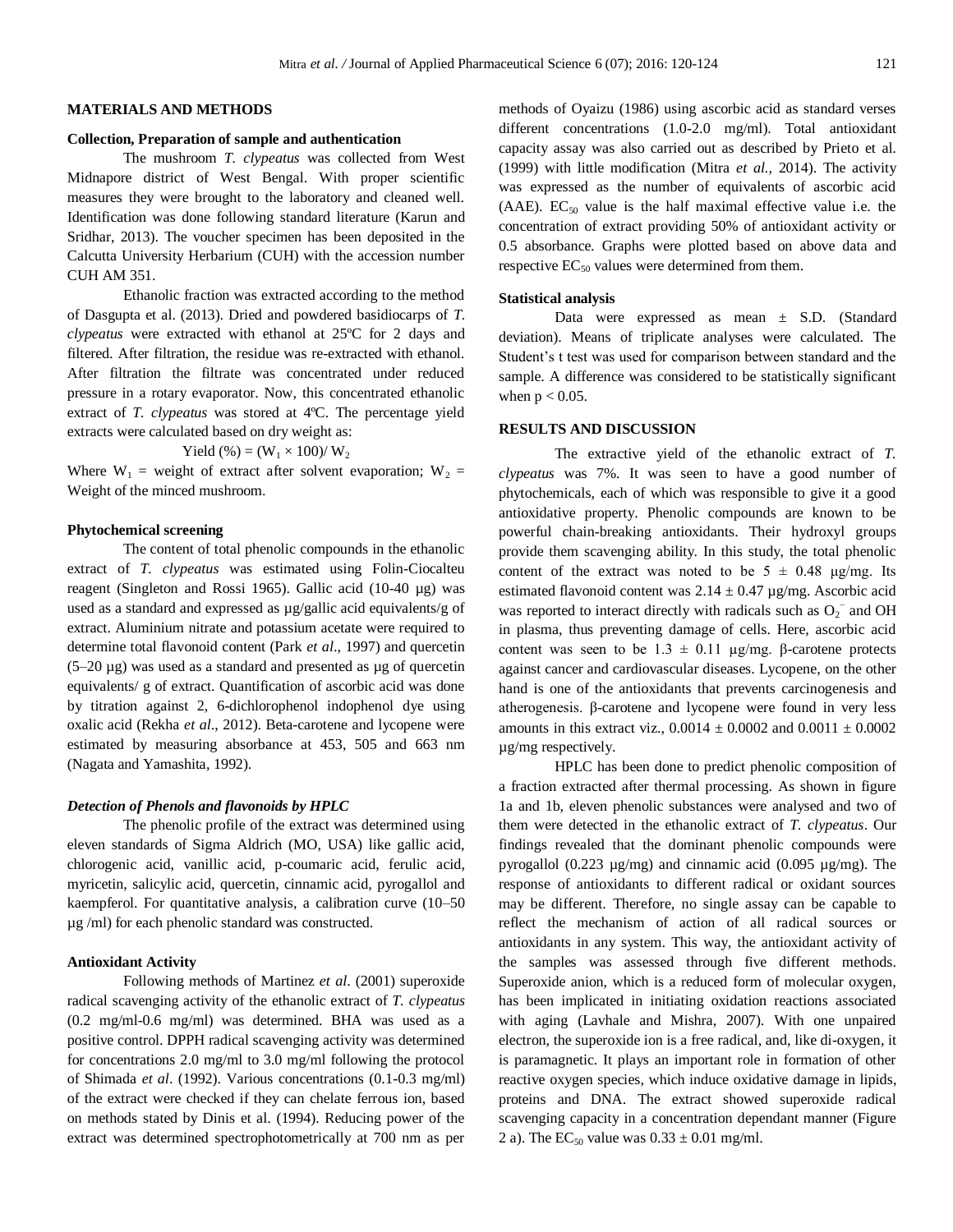#### **MATERIALS AND METHODS**

#### **Collection, Preparation of sample and authentication**

The mushroom *T. clypeatus* was collected from West Midnapore district of West Bengal. With proper scientific measures they were brought to the laboratory and cleaned well. Identification was done following standard literature (Karun and Sridhar, 2013). The voucher specimen has been deposited in the Calcutta University Herbarium (CUH) with the accession number CUH AM 351.

Ethanolic fraction was extracted according to the method of Dasgupta et al. (2013). Dried and powdered basidiocarps of *T. clypeatus* were extracted with ethanol at 25ºC for 2 days and filtered. After filtration, the residue was re-extracted with ethanol. After filtration the filtrate was concentrated under reduced pressure in a rotary evaporator. Now, this concentrated ethanolic extract of *T. clypeatus* was stored at 4ºC. The percentage yield extracts were calculated based on dry weight as:

Yield (%) = 
$$
(W_1 \times 100) / W_2
$$

Where  $W_1$  = weight of extract after solvent evaporation;  $W_2$  = Weight of the minced mushroom.

#### **Phytochemical screening**

The content of total phenolic compounds in the ethanolic extract of *T. clypeatus* was estimated using Folin-Ciocalteu reagent (Singleton and Rossi 1965). Gallic acid (10-40 µg) was used as a standard and expressed as µg/gallic acid equivalents/g of extract. Aluminium nitrate and potassium acetate were required to determine total flavonoid content (Park *et al*., 1997) and quercetin  $(5-20 \mu g)$  was used as a standard and presented as  $\mu g$  of quercetin equivalents/ g of extract. Quantification of ascorbic acid was done by titration against 2, 6-dichlorophenol indophenol dye using oxalic acid (Rekha *et al*., 2012). Beta-carotene and lycopene were estimated by measuring absorbance at 453, 505 and 663 nm (Nagata and Yamashita, 1992).

#### *Detection of Phenols and flavonoids by HPLC*

The phenolic profile of the extract was determined using eleven standards of Sigma Aldrich (MO, USA) like gallic acid, chlorogenic acid, vanillic acid, p-coumaric acid, ferulic acid, myricetin, salicylic acid, quercetin, cinnamic acid, pyrogallol and kaempferol. For quantitative analysis, a calibration curve (10–50 µg /ml) for each phenolic standard was constructed.

#### **Antioxidant Activity**

Following methods of Martinez *et al*. (2001) superoxide radical scavenging activity of the ethanolic extract of *T. clypeatus* (0.2 mg/ml-0.6 mg/ml) was determined. BHA was used as a positive control. DPPH radical scavenging activity was determined for concentrations 2.0 mg/ml to 3.0 mg/ml following the protocol of Shimada *et al*. (1992). Various concentrations (0.1-0.3 mg/ml) of the extract were checked if they can chelate ferrous ion, based on methods stated by Dinis et al. (1994). Reducing power of the extract was determined spectrophotometrically at 700 nm as per methods of Oyaizu (1986) using ascorbic acid as standard verses different concentrations (1.0-2.0 mg/ml). Total antioxidant capacity assay was also carried out as described by Prieto et al*.*  (1999) with little modification (Mitra *et al.,* 2014). The activity was expressed as the number of equivalents of ascorbic acid (AAE).  $EC_{50}$  value is the half maximal effective value i.e. the concentration of extract providing 50% of antioxidant activity or 0.5 absorbance. Graphs were plotted based on above data and respective  $EC_{50}$  values were determined from them.

#### **Statistical analysis**

Data were expressed as mean ± S.D. (Standard deviation). Means of triplicate analyses were calculated. The Student's t test was used for comparison between standard and the sample. A difference was considered to be statistically significant when  $p < 0.05$ .

#### **RESULTS AND DISCUSSION**

The extractive yield of the ethanolic extract of *T. clypeatus* was 7%. It was seen to have a good number of phytochemicals, each of which was responsible to give it a good antioxidative property. Phenolic compounds are known to be powerful chain-breaking antioxidants. Their hydroxyl groups provide them scavenging ability. In this study, the total phenolic content of the extract was noted to be  $5 \pm 0.48$  μg/mg. Its estimated flavonoid content was  $2.14 \pm 0.47$  µg/mg. Ascorbic acid was reported to interact directly with radicals such as  $O_2^-$  and OH in plasma, thus preventing damage of cells. Here, ascorbic acid content was seen to be  $1.3 \pm 0.11$  μg/mg. β-carotene protects against cancer and cardiovascular diseases. Lycopene, on the other hand is one of the antioxidants that prevents carcinogenesis and atherogenesis. β-carotene and lycopene were found in very less amounts in this extract viz.,  $0.0014 \pm 0.0002$  and  $0.0011 \pm 0.0002$ µg/mg respectively.

HPLC has been done to predict phenolic composition of a fraction extracted after thermal processing. As shown in figure 1a and 1b, eleven phenolic substances were analysed and two of them were detected in the ethanolic extract of *T. clypeatus*. Our findings revealed that the dominant phenolic compounds were pyrogallol (0.223 µg/mg) and cinnamic acid (0.095 µg/mg). The response of antioxidants to different radical or oxidant sources may be different. Therefore, no single assay can be capable to reflect the mechanism of action of all radical sources or antioxidants in any system. This way, the antioxidant activity of the samples was assessed through five different methods. Superoxide anion, which is a reduced form of molecular oxygen, has been implicated in initiating oxidation reactions associated with aging (Lavhale and Mishra, 2007). With one unpaired electron, the superoxide ion is a free radical, and, like di-oxygen, it is paramagnetic. It plays an important role in formation of other reactive oxygen species, which induce oxidative damage in lipids, proteins and DNA. The extract showed superoxide radical scavenging capacity in a concentration dependant manner (Figure 2 a). The EC<sub>50</sub> value was  $0.33 \pm 0.01$  mg/ml.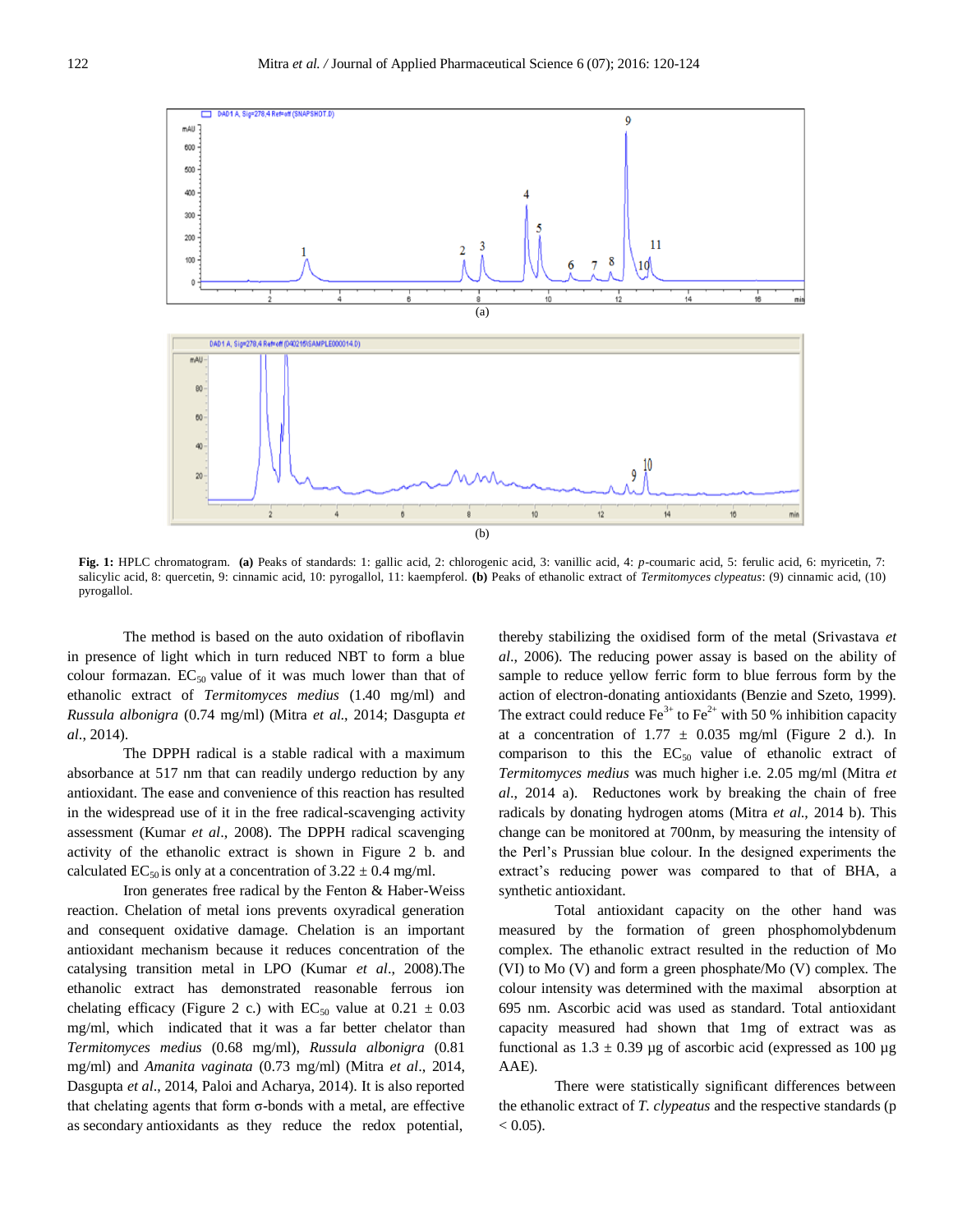

**Fig. 1:** HPLC chromatogram. **(a)** Peaks of standards: 1: gallic acid, 2: chlorogenic acid, 3: vanillic acid, 4: *p*-coumaric acid, 5: ferulic acid, 6: myricetin, 7: salicylic acid, 8: quercetin, 9: cinnamic acid, 10: pyrogallol, 11: kaempferol. **(b)** Peaks of ethanolic extract of *Termitomyces clypeatus*: (9) cinnamic acid, (10) pyrogallol.

The method is based on the auto oxidation of riboflavin in presence of light which in turn reduced NBT to form a blue colour formazan.  $EC_{50}$  value of it was much lower than that of ethanolic extract of *Termitomyces medius* (1.40 mg/ml) and *Russula albonigra* (0.74 mg/ml) (Mitra *et al*., 2014; Dasgupta *et al*., 2014).

The DPPH radical is a stable radical with a maximum absorbance at 517 nm that can readily undergo reduction by any antioxidant. The ease and convenience of this reaction has resulted in the widespread use of it in the free radical-scavenging activity assessment (Kumar *et al*., 2008). The DPPH radical scavenging activity of the ethanolic extract is shown in Figure 2 b. and calculated EC<sub>50</sub> is only at a concentration of  $3.22 \pm 0.4$  mg/ml.

Iron generates free radical by the Fenton & Haber-Weiss reaction. Chelation of metal ions prevents oxyradical generation and consequent oxidative damage. Chelation is an important antioxidant mechanism because it reduces concentration of the catalysing transition metal in LPO (Kumar *et al*., 2008).The ethanolic extract has demonstrated reasonable ferrous ion chelating efficacy (Figure 2 c.) with  $EC_{50}$  value at  $0.21 \pm 0.03$ mg/ml, which indicated that it was a far better chelator than *Termitomyces medius* (0.68 mg/ml), *Russula albonigra* (0.81 mg/ml) and *Amanita vaginata* (0.73 mg/ml) (Mitra *et al*., 2014, Dasgupta *et al*., 2014, Paloi and Acharya, 2014). It is also reported that chelating agents that form σ-bonds with a metal, are effective as secondary antioxidants as they reduce the redox potential,

thereby stabilizing the oxidised form of the metal (Srivastava *et al*., 2006). The reducing power assay is based on the ability of sample to reduce yellow ferric form to blue ferrous form by the action of electron-donating antioxidants (Benzie and Szeto, 1999). The extract could reduce  $\text{Fe}^{3+}$  to  $\text{Fe}^{2+}$  with 50 % inhibition capacity at a concentration of  $1.77 \pm 0.035$  mg/ml (Figure 2 d.). In comparison to this the  $EC_{50}$  value of ethanolic extract of *Termitomyces medius* was much higher i.e. 2.05 mg/ml (Mitra *et al*., 2014 a). Reductones work by breaking the chain of free radicals by donating hydrogen atoms (Mitra *et al*., 2014 b). This change can be monitored at 700nm, by measuring the intensity of the Perl's Prussian blue colour. In the designed experiments the extract's reducing power was compared to that of BHA, a synthetic antioxidant.

Total antioxidant capacity on the other hand was measured by the formation of green phosphomolybdenum complex. The ethanolic extract resulted in the reduction of Mo (VI) to Mo (V) and form a green phosphate/Mo (V) complex. The colour intensity was determined with the maximal absorption at 695 nm. Ascorbic acid was used as standard. Total antioxidant capacity measured had shown that 1mg of extract was as functional as  $1.3 \pm 0.39$  µg of ascorbic acid (expressed as 100 µg AAE).

There were statistically significant differences between the ethanolic extract of *T. clypeatus* and the respective standards (p  $< 0.05$ ).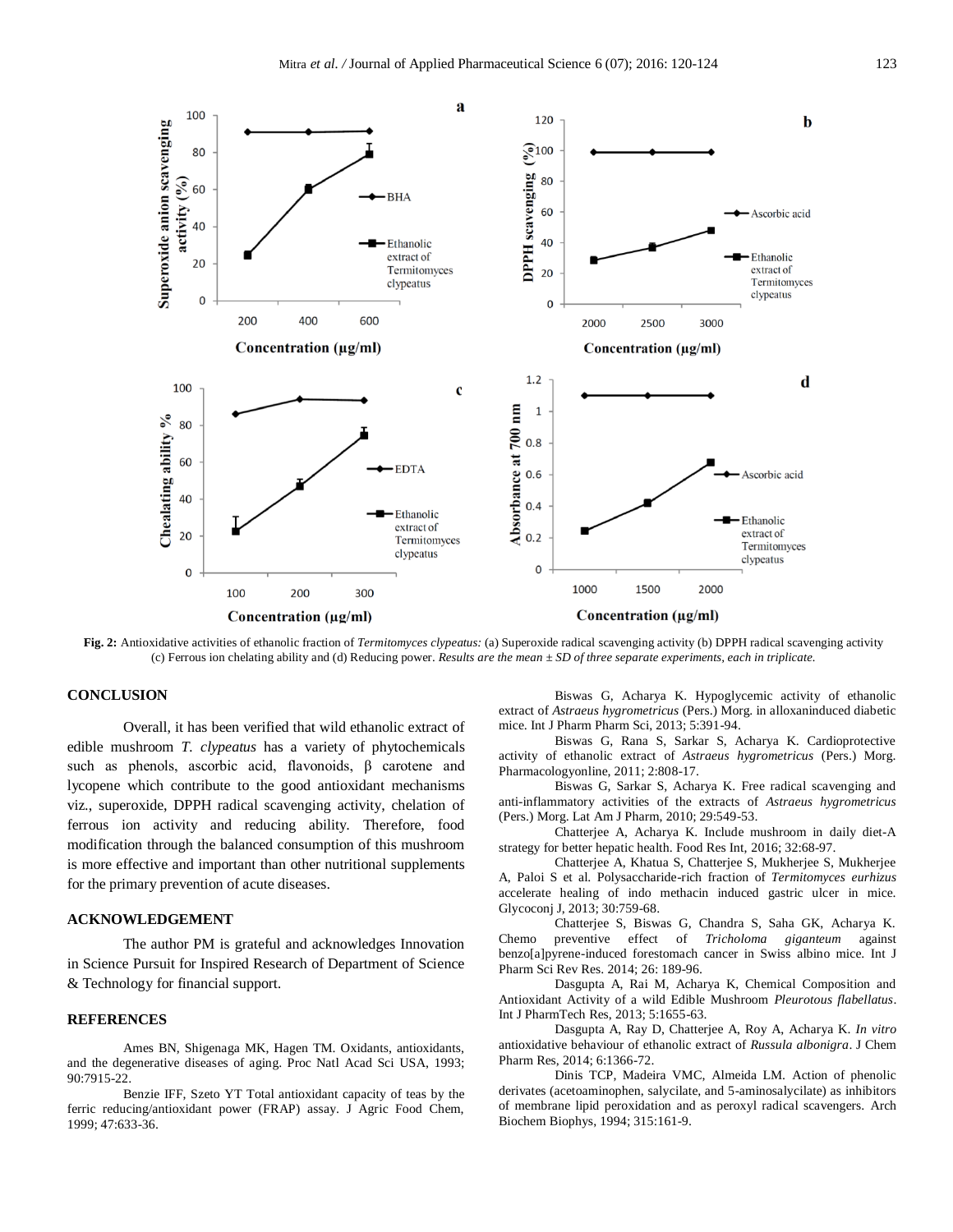

**Fig. 2:** Antioxidative activities of ethanolic fraction of *Termitomyces clypeatus:* (a) Superoxide radical scavenging activity (b) DPPH radical scavenging activity (c) Ferrous ion chelating ability and (d) Reducing power. *Results are the mean ± SD of three separate experiments, each in triplicate.*

### **CONCLUSION**

Overall, it has been verified that wild ethanolic extract of edible mushroom *T. clypeatus* has a variety of phytochemicals such as phenols, ascorbic acid, flavonoids, β carotene and lycopene which contribute to the good antioxidant mechanisms viz., superoxide, DPPH radical scavenging activity, chelation of ferrous ion activity and reducing ability. Therefore, food modification through the balanced consumption of this mushroom is more effective and important than other nutritional supplements for the primary prevention of acute diseases.

#### **ACKNOWLEDGEMENT**

The author PM is grateful and acknowledges Innovation in Science Pursuit for Inspired Research of Department of Science & Technology for financial support.

#### **REFERENCES**

Ames BN, Shigenaga MK, Hagen TM. Oxidants, antioxidants, and the degenerative diseases of aging. Proc Natl Acad Sci USA, 1993; 90:7915-22.

Benzie IFF, Szeto YT Total antioxidant capacity of teas by the ferric reducing/antioxidant power (FRAP) assay. J Agric Food Chem, 1999; 47:633-36.

Biswas G, Acharya K. Hypoglycemic activity of ethanolic extract of *Astraeus hygrometricus* (Pers.) Morg. in alloxaninduced diabetic mice. Int J Pharm Pharm Sci, 2013; 5:391-94.

Biswas G, Rana S, Sarkar S, Acharya K. Cardioprotective activity of ethanolic extract of *Astraeus hygrometricus* (Pers.) Morg. Pharmacologyonline, 2011; 2:808-17.

Biswas G, Sarkar S, Acharya K. Free radical scavenging and anti-inflammatory activities of the extracts of *Astraeus hygrometricus*  (Pers.) Morg. Lat Am J Pharm, 2010; 29:549-53.

Chatterjee A, Acharya K. Include mushroom in daily diet-A strategy for better hepatic health. Food Res Int, 2016; 32:68-97.

Chatterjee A, Khatua S, Chatterjee S, Mukherjee S, Mukherjee A, Paloi S et al. Polysaccharide-rich fraction of *Termitomyces eurhizus*  accelerate healing of indo methacin induced gastric ulcer in mice. Glycoconj J, 2013; 30:759-68.

Chatterjee S, Biswas G, Chandra S, Saha GK, Acharya K. Chemo preventive effect of *Tricholoma giganteum* against benzo[a]pyrene-induced forestomach cancer in Swiss albino mice. Int J Pharm Sci Rev Res. 2014; 26: 189-96.

Dasgupta A, Rai M, Acharya K, Chemical Composition and Antioxidant Activity of a wild Edible Mushroom *Pleurotous flabellatus*. Int J PharmTech Res, 2013; 5:1655-63.

Dasgupta A, Ray D, Chatterjee A, Roy A, Acharya K. *In vitro*  antioxidative behaviour of ethanolic extract of *Russula albonigra*. J Chem Pharm Res, 2014; 6:1366-72.

Dinis TCP, Madeira VMC, Almeida LM. Action of phenolic derivates (acetoaminophen, salycilate, and 5-aminosalycilate) as inhibitors of membrane lipid peroxidation and as peroxyl radical scavengers. Arch Biochem Biophys, 1994; 315:161-9.